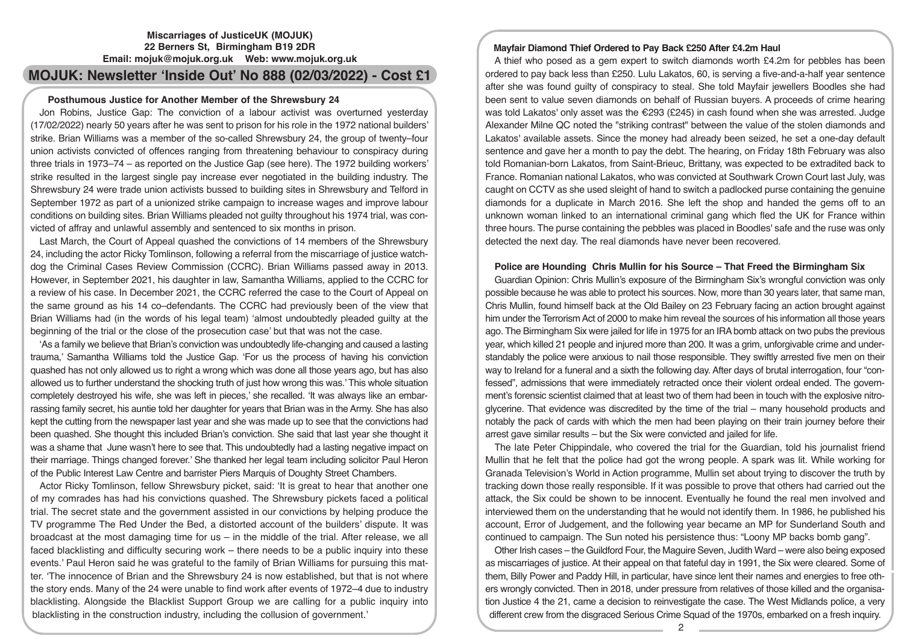## **Miscarriages of JusticeUK (MOJUK) 22 Berners St, Birmingham B19 2DR Email: mojuk@mojuk.org.uk Web: www.mojuk.org.uk**

# **MOJUK: Newsletter 'Inside Out' No 888 (02/03/2022) - Cost £1**

## **Posthumous Justice for Another Member of the Shrewsbury 24**

Jon Robins, Justice Gap: The conviction of a labour activist was overturned yesterday (17/02/2022) nearly 50 years after he was sent to prison for his role in the 1972 national builders' strike. Brian Williams was a member of the so-called Shrewsbury 24, the group of twenty–four union activists convicted of offences ranging from threatening behaviour to conspiracy during three trials in 1973–74 – as reported on the Justice Gap (see here). The 1972 building workers' strike resulted in the largest single pay increase ever negotiated in the building industry. The Shrewsbury 24 were trade union activists bussed to building sites in Shrewsbury and Telford in September 1972 as part of a unionized strike campaign to increase wages and improve labour conditions on building sites. Brian Williams pleaded not guilty throughout his 1974 trial, was convicted of affray and unlawful assembly and sentenced to six months in prison.

Last March, the Court of Appeal quashed the convictions of 14 members of the Shrewsbury 24, including the actor Ricky Tomlinson, following a referral from the miscarriage of justice watchdog the Criminal Cases Review Commission (CCRC). Brian Williams passed away in 2013. However, in September 2021, his daughter in law, Samantha Williams, applied to the CCRC for a review of his case. In December 2021, the CCRC referred the case to the Court of Appeal on the same ground as his 14 co–defendants. The CCRC had previously been of the view that Brian Williams had (in the words of his legal team) 'almost undoubtedly pleaded guilty at the beginning of the trial or the close of the prosecution case' but that was not the case.

'As a family we believe that Brian's conviction was undoubtedly life-changing and caused a lasting trauma,' Samantha Williams told the Justice Gap. 'For us the process of having his conviction quashed has not only allowed us to right a wrong which was done all those years ago, but has also allowed us to further understand the shocking truth of just how wrong this was.' This whole situation completely destroyed his wife, she was left in pieces,' she recalled. 'It was always like an embarrassing family secret, his auntie told her daughter for years that Brian was in the Army. She has also kept the cutting from the newspaper last year and she was made up to see that the convictions had been quashed. She thought this included Brian's conviction. She said that last year she thought it was a shame that June wasn't here to see that. This undoubtedly had a lasting negative impact on their marriage. Things changed forever.' She thanked her legal team including solicitor Paul Heron of the Public Interest Law Centre and barrister Piers Marquis of Doughty Street Chambers.

Actor Ricky Tomlinson, fellow Shrewsbury picket, said: 'It is great to hear that another one of my comrades has had his convictions quashed. The Shrewsbury pickets faced a political trial. The secret state and the government assisted in our convictions by helping produce the TV programme The Red Under the Bed, a distorted account of the builders' dispute. It was broadcast at the most damaging time for us – in the middle of the trial. After release, we all faced blacklisting and difficulty securing work – there needs to be a public inquiry into these events.' Paul Heron said he was grateful to the family of Brian Williams for pursuing this matter. 'The innocence of Brian and the Shrewsbury 24 is now established, but that is not where the story ends. Many of the 24 were unable to find work after events of 1972–4 due to industry blacklisting. Alongside the Blacklist Support Group we are calling for a public inquiry into blacklisting in the construction industry, including the collusion of government.'

# **Mayfair Diamond Thief Ordered to Pay Back £250 After £4.2m Haul**

A thief who posed as a gem expert to switch diamonds worth £4.2m for pebbles has been ordered to pay back less than £250. Lulu Lakatos, 60, is serving a five-and-a-half year sentence after she was found guilty of conspiracy to steal. She told Mayfair jewellers Boodles she had been sent to value seven diamonds on behalf of Russian buyers. A proceeds of crime hearing was told Lakatos' only asset was the €293 (£245) in cash found when she was arrested. Judge Alexander Milne QC noted the "striking contrast" between the value of the stolen diamonds and Lakatos' available assets. Since the money had already been seized, he set a one-day default sentence and gave her a month to pay the debt. The hearing, on Friday 18th February was also told Romanian-born Lakatos, from Saint-Brieuc, Brittany, was expected to be extradited back to France. Romanian national Lakatos, who was convicted at Southwark Crown Court last July, was caught on CCTV as she used sleight of hand to switch a padlocked purse containing the genuine diamonds for a duplicate in March 2016. She left the shop and handed the gems off to an unknown woman linked to an international criminal gang which fled the UK for France within three hours. The purse containing the pebbles was placed in Boodles' safe and the ruse was only detected the next day. The real diamonds have never been recovered.

# **Police are Hounding Chris Mullin for his Source – That Freed the Birmingham Six**

Guardian Opinion: Chris Mullin's exposure of the Birmingham Six's wrongful conviction was only possible because he was able to protect his sources. Now, more than 30 years later, that same man, Chris Mullin, found himself back at the Old Bailey on 23 February facing an action brought against him under the Terrorism Act of 2000 to make him reveal the sources of his information all those years ago. The Birmingham Six were jailed for life in 1975 for an IRA bomb attack on two pubs the previous year, which killed 21 people and injured more than 200. It was a grim, unforgivable crime and understandably the police were anxious to nail those responsible. They swiftly arrested five men on their way to Ireland for a funeral and a sixth the following day. After days of brutal interrogation, four "confessed", admissions that were immediately retracted once their violent ordeal ended. The government's forensic scientist claimed that at least two of them had been in touch with the explosive nitroglycerine. That evidence was discredited by the time of the trial – many household products and notably the pack of cards with which the men had been playing on their train journey before their arrest gave similar results – but the Six were convicted and jailed for life.

The late Peter Chippindale, who covered the trial for the Guardian, told his journalist friend Mullin that he felt that the police had got the wrong people. A spark was lit. While working for Granada Television's World in Action programme, Mullin set about trying to discover the truth by tracking down those really responsible. If it was possible to prove that others had carried out the attack, the Six could be shown to be innocent. Eventually he found the real men involved and interviewed them on the understanding that he would not identify them. In 1986, he published his account, Error of Judgement, and the following year became an MP for Sunderland South and continued to campaign. The Sun noted his persistence thus: "Loony MP backs bomb gang".

Other Irish cases – the Guildford Four, the Maguire Seven, Judith Ward – were also being exposed as miscarriages of justice. At their appeal on that fateful day in 1991, the Six were cleared. Some of them, Billy Power and Paddy Hill, in particular, have since lent their names and energies to free others wrongly convicted. Then in 2018, under pressure from relatives of those killed and the organisation Justice 4 the 21, came a decision to reinvestigate the case. The West Midlands police, a very different crew from the disgraced Serious Crime Squad of the 1970s, embarked on a fresh inquiry.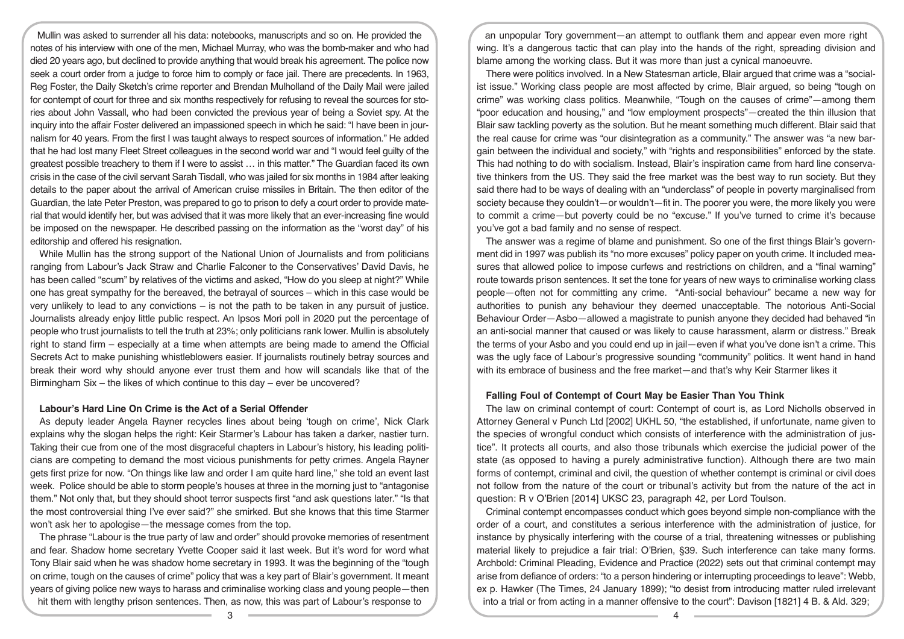Mullin was asked to surrender all his data: notebooks, manuscripts and so on. He provided the notes of his interview with one of the men, Michael Murray, who was the bomb-maker and who had died 20 years ago, but declined to provide anything that would break his agreement. The police now seek a court order from a judge to force him to comply or face jail. There are precedents. In 1963, Reg Foster, the Daily Sketch's crime reporter and Brendan Mulholland of the Daily Mail were jailed for contempt of court for three and six months respectively for refusing to reveal the sources for stories about John Vassall, who had been convicted the previous year of being a Soviet spy. At the inquiry into the affair Foster delivered an impassioned speech in which he said: "I have been in journalism for 40 years. From the first I was taught always to respect sources of information." He added that he had lost many Fleet Street colleagues in the second world war and "I would feel guilty of the greatest possible treachery to them if I were to assist … in this matter." The Guardian faced its own crisis in the case of the civil servant Sarah Tisdall, who was jailed for six months in 1984 after leaking details to the paper about the arrival of American cruise missiles in Britain. The then editor of the Guardian, the late Peter Preston, was prepared to go to prison to defy a court order to provide material that would identify her, but was advised that it was more likely that an ever-increasing fine would be imposed on the newspaper. He described passing on the information as the "worst day" of his editorship and offered his resignation.

While Mullin has the strong support of the National Union of Journalists and from politicians ranging from Labour's Jack Straw and Charlie Falconer to the Conservatives' David Davis, he has been called "scum" by relatives of the victims and asked, "How do you sleep at night?" While one has great sympathy for the bereaved, the betrayal of sources – which in this case would be very unlikely to lead to any convictions – is not the path to be taken in any pursuit of justice. Journalists already enjoy little public respect. An Ipsos Mori poll in 2020 put the percentage of people who trust journalists to tell the truth at 23%; only politicians rank lower. Mullin is absolutely right to stand firm – especially at a time when attempts are being made to amend the Official Secrets Act to make punishing whistleblowers easier. If journalists routinely betray sources and break their word why should anyone ever trust them and how will scandals like that of the Birmingham Six – the likes of which continue to this day – ever be uncovered?

#### **Labour's Hard Line On Crime is the Act of a Serial Offender**

As deputy leader Angela Rayner recycles lines about being 'tough on crime', Nick Clark explains why the slogan helps the right: Keir Starmer's Labour has taken a darker, nastier turn. Taking their cue from one of the most disgraceful chapters in Labour's history, his leading politicians are competing to demand the most vicious punishments for petty crimes. Angela Rayner gets first prize for now. "On things like law and order I am quite hard line," she told an event last week. Police should be able to storm people's houses at three in the morning just to "antagonise them." Not only that, but they should shoot terror suspects first "and ask questions later." "Is that the most controversial thing I've ever said?" she smirked. But she knows that this time Starmer won't ask her to apologise—the message comes from the top.

The phrase "Labour is the true party of law and order" should provoke memories of resentment and fear. Shadow home secretary Yvette Cooper said it last week. But it's word for word what Tony Blair said when he was shadow home secretary in 1993. It was the beginning of the "tough on crime, tough on the causes of crime" policy that was a key part of Blair's government. It meant years of giving police new ways to harass and criminalise working class and young people—then hit them with lengthy prison sentences. Then, as now, this was part of Labour's response to

an unpopular Tory government—an attempt to outflank them and appear even more right wing. It's a dangerous tactic that can play into the hands of the right, spreading division and blame among the working class. But it was more than just a cynical manoeuvre.

There were politics involved. In a New Statesman article, Blair argued that crime was a "socialist issue." Working class people are most affected by crime, Blair argued, so being "tough on crime" was working class politics. Meanwhile, "Tough on the causes of crime"—among them "poor education and housing," and "low employment prospects"—created the thin illusion that Blair saw tackling poverty as the solution. But he meant something much different. Blair said that the real cause for crime was "our disintegration as a community." The answer was "a new bargain between the individual and society," with "rights and responsibilities" enforced by the state. This had nothing to do with socialism. Instead, Blair's inspiration came from hard line conservative thinkers from the US. They said the free market was the best way to run society. But they said there had to be ways of dealing with an "underclass" of people in poverty marginalised from society because they couldn't—or wouldn't—fit in. The poorer you were, the more likely you were to commit a crime—but poverty could be no "excuse." If you've turned to crime it's because you've got a bad family and no sense of respect.

The answer was a regime of blame and punishment. So one of the first things Blair's government did in 1997 was publish its "no more excuses" policy paper on youth crime. It included measures that allowed police to impose curfews and restrictions on children, and a "final warning" route towards prison sentences. It set the tone for years of new ways to criminalise working class people—often not for committing any crime. "Anti-social behaviour" became a new way for authorities to punish any behaviour they deemed unacceptable. The notorious Anti-Social Behaviour Order—Asbo—allowed a magistrate to punish anyone they decided had behaved "in an anti-social manner that caused or was likely to cause harassment, alarm or distress." Break the terms of your Asbo and you could end up in jail—even if what you've done isn't a crime. This was the ugly face of Labour's progressive sounding "community" politics. It went hand in hand with its embrace of business and the free market—and that's why Keir Starmer likes it

#### **Falling Foul of Contempt of Court May be Easier Than You Think**

The law on criminal contempt of court: Contempt of court is, as Lord Nicholls observed in Attorney General v Punch Ltd [2002] UKHL 50, "the established, if unfortunate, name given to the species of wrongful conduct which consists of interference with the administration of justice". It protects all courts, and also those tribunals which exercise the judicial power of the state (as opposed to having a purely administrative function). Although there are two main forms of contempt, criminal and civil, the question of whether contempt is criminal or civil does not follow from the nature of the court or tribunal's activity but from the nature of the act in question: R v O'Brien [2014] UKSC 23, paragraph 42, per Lord Toulson.

Criminal contempt encompasses conduct which goes beyond simple non-compliance with the order of a court, and constitutes a serious interference with the administration of justice, for instance by physically interfering with the course of a trial, threatening witnesses or publishing material likely to prejudice a fair trial: O'Brien, §39. Such interference can take many forms. Archbold: Criminal Pleading, Evidence and Practice (2022) sets out that criminal contempt may arise from defiance of orders: "to a person hindering or interrupting proceedings to leave": Webb, ex p. Hawker (The Times, 24 January 1899); "to desist from introducing matter ruled irrelevant into a trial or from acting in a manner offensive to the court": Davison [1821] 4 B. & Ald. 329;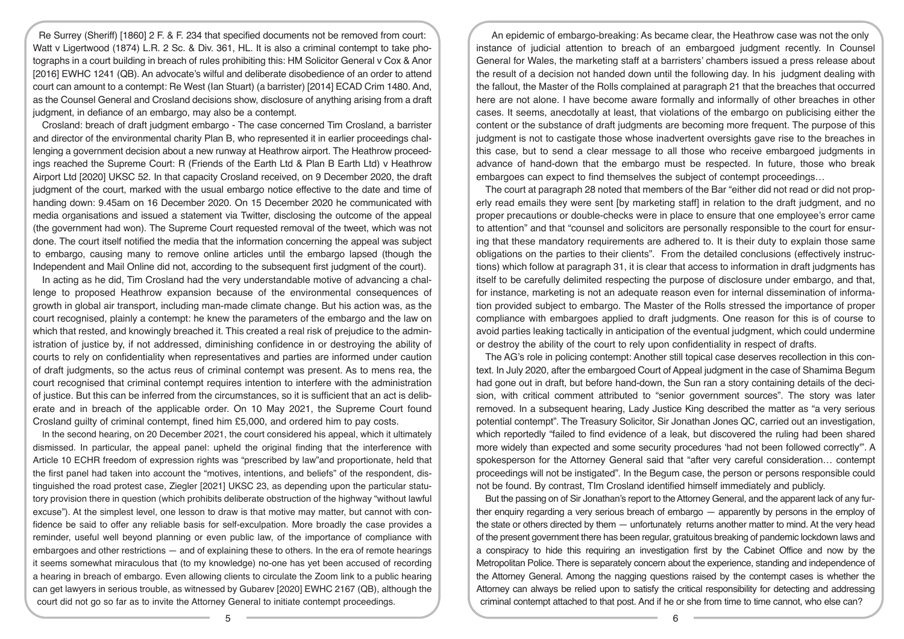Re Surrey (Sheriff) [1860] 2 F. & F. 234 that specified documents not be removed from court: Watt v Ligertwood (1874) L.R. 2 Sc. & Div. 361, HL. It is also a criminal contempt to take photographs in a court building in breach of rules prohibiting this: HM Solicitor General v Cox & Anor [2016] EWHC 1241 (QB). An advocate's wilful and deliberate disobedience of an order to attend court can amount to a contempt: Re West (Ian Stuart) (a barrister) [2014] ECAD Crim 1480. And, as the Counsel General and Crosland decisions show, disclosure of anything arising from a draft judgment, in defiance of an embargo, may also be a contempt.

Crosland: breach of draft judgment embargo - The case concerned Tim Crosland, a barrister and director of the environmental charity Plan B, who represented it in earlier proceedings challenging a government decision about a new runway at Heathrow airport. The Heathrow proceedings reached the Supreme Court: R (Friends of the Earth Ltd & Plan B Earth Ltd) v Heathrow Airport Ltd [2020] UKSC 52. In that capacity Crosland received, on 9 December 2020, the draft judgment of the court, marked with the usual embargo notice effective to the date and time of handing down: 9.45am on 16 December 2020. On 15 December 2020 he communicated with media organisations and issued a statement via Twitter, disclosing the outcome of the appeal (the government had won). The Supreme Court requested removal of the tweet, which was not done. The court itself notified the media that the information concerning the appeal was subject to embargo, causing many to remove online articles until the embargo lapsed (though the Independent and Mail Online did not, according to the subsequent first judgment of the court).

In acting as he did, Tim Crosland had the very understandable motive of advancing a challenge to proposed Heathrow expansion because of the environmental consequences of growth in global air transport, including man-made climate change. But his action was, as the court recognised, plainly a contempt: he knew the parameters of the embargo and the law on which that rested, and knowingly breached it. This created a real risk of prejudice to the administration of justice by, if not addressed, diminishing confidence in or destroying the ability of courts to rely on confidentiality when representatives and parties are informed under caution of draft judgments, so the actus reus of criminal contempt was present. As to mens rea, the court recognised that criminal contempt requires intention to interfere with the administration of justice. But this can be inferred from the circumstances, so it is sufficient that an act is deliberate and in breach of the applicable order. On 10 May 2021, the Supreme Court found Crosland guilty of criminal contempt, fined him £5,000, and ordered him to pay costs.

In the second hearing, on 20 December 2021, the court considered his appeal, which it ultimately dismissed. In particular, the appeal panel: upheld the original finding that the interference with Article 10 ECHR freedom of expression rights was "prescribed by law"and proportionate, held that the first panel had taken into account the "motives, intentions, and beliefs" of the respondent, distinguished the road protest case, Ziegler [2021] UKSC 23, as depending upon the particular statutory provision there in question (which prohibits deliberate obstruction of the highway "without lawful excuse"). At the simplest level, one lesson to draw is that motive may matter, but cannot with confidence be said to offer any reliable basis for self-exculpation. More broadly the case provides a reminder, useful well beyond planning or even public law, of the importance of compliance with embargoes and other restrictions — and of explaining these to others. In the era of remote hearings it seems somewhat miraculous that (to my knowledge) no-one has yet been accused of recording a hearing in breach of embargo. Even allowing clients to circulate the Zoom link to a public hearing can get lawyers in serious trouble, as witnessed by Gubarev [2020] EWHC 2167 (QB), although the court did not go so far as to invite the Attorney General to initiate contempt proceedings.

An epidemic of embargo-breaking: As became clear, the Heathrow case was not the only instance of judicial attention to breach of an embargoed judgment recently. In Counsel General for Wales, the marketing staff at a barristers' chambers issued a press release about the result of a decision not handed down until the following day. In his judgment dealing with the fallout, the Master of the Rolls complained at paragraph 21 that the breaches that occurred here are not alone. I have become aware formally and informally of other breaches in other cases. It seems, anecdotally at least, that violations of the embargo on publicising either the content or the substance of draft judgments are becoming more frequent. The purpose of this judgment is not to castigate those whose inadvertent oversights gave rise to the breaches in this case, but to send a clear message to all those who receive embargoed judgments in advance of hand-down that the embargo must be respected. In future, those who break embargoes can expect to find themselves the subject of contempt proceedings…

The court at paragraph 28 noted that members of the Bar "either did not read or did not properly read emails they were sent [by marketing staff] in relation to the draft judgment, and no proper precautions or double-checks were in place to ensure that one employee's error came to attention" and that "counsel and solicitors are personally responsible to the court for ensuring that these mandatory requirements are adhered to. It is their duty to explain those same obligations on the parties to their clients". From the detailed conclusions (effectively instructions) which follow at paragraph 31, it is clear that access to information in draft judgments has itself to be carefully delimited respecting the purpose of disclosure under embargo, and that, for instance, marketing is not an adequate reason even for internal dissemination of information provided subject to embargo. The Master of the Rolls stressed the importance of proper compliance with embargoes applied to draft judgments. One reason for this is of course to avoid parties leaking tactically in anticipation of the eventual judgment, which could undermine or destroy the ability of the court to rely upon confidentiality in respect of drafts.

The AG's role in policing contempt: Another still topical case deserves recollection in this context. In July 2020, after the embargoed Court of Appeal judgment in the case of Shamima Begum had gone out in draft, but before hand-down, the Sun ran a story containing details of the decision, with critical comment attributed to "senior government sources". The story was later removed. In a subsequent hearing, Lady Justice King described the matter as "a very serious potential contempt". The Treasury Solicitor, Sir Jonathan Jones QC, carried out an investigation, which reportedly "failed to find evidence of a leak, but discovered the ruling had been shared more widely than expected and some security procedures 'had not been followed correctly'". A spokesperson for the Attorney General said that "after very careful consideration… contempt proceedings will not be instigated". In the Begum case, the person or persons responsible could not be found. By contrast, TIm Crosland identified himself immediately and publicly.

But the passing on of Sir Jonathan's report to the Attorney General, and the apparent lack of any further enquiry regarding a very serious breach of embargo — apparently by persons in the employ of the state or others directed by them — unfortunately returns another matter to mind. At the very head of the present government there has been regular, gratuitous breaking of pandemic lockdown laws and a conspiracy to hide this requiring an investigation first by the Cabinet Office and now by the Metropolitan Police. There is separately concern about the experience, standing and independence of the Attorney General. Among the nagging questions raised by the contempt cases is whether the Attorney can always be relied upon to satisfy the critical responsibility for detecting and addressing criminal contempt attached to that post. And if he or she from time to time cannot, who else can?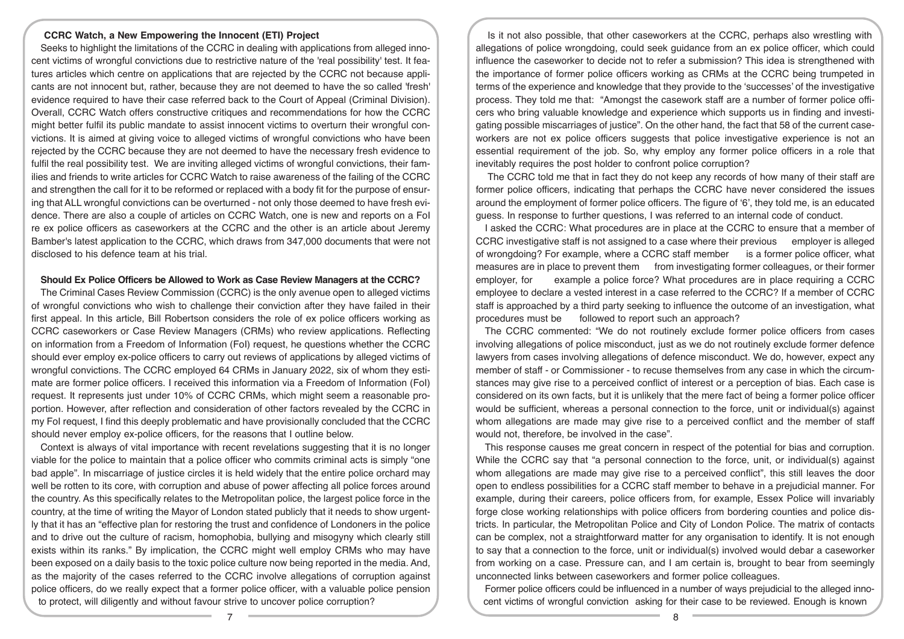#### **CCRC Watch, a New Empowering the Innocent (ETI) Project**

Seeks to highlight the limitations of the CCRC in dealing with applications from alleged innocent victims of wrongful convictions due to restrictive nature of the 'real possibility' test. It features articles which centre on applications that are rejected by the CCRC not because applicants are not innocent but, rather, because they are not deemed to have the so called 'fresh' evidence required to have their case referred back to the Court of Appeal (Criminal Division). Overall, CCRC Watch offers constructive critiques and recommendations for how the CCRC might better fulfil its public mandate to assist innocent victims to overturn their wrongful convictions. It is aimed at giving voice to alleged victims of wrongful convictions who have been rejected by the CCRC because they are not deemed to have the necessary fresh evidence to fulfil the real possibility test. We are inviting alleged victims of wrongful convictions, their families and friends to write articles for CCRC Watch to raise awareness of the failing of the CCRC and strengthen the call for it to be reformed or replaced with a body fit for the purpose of ensuring that ALL wrongful convictions can be overturned - not only those deemed to have fresh evidence. There are also a couple of articles on CCRC Watch, one is new and reports on a FoI re ex police officers as caseworkers at the CCRC and the other is an article about Jeremy Bamber's latest application to the CCRC, which draws from 347,000 documents that were not disclosed to his defence team at his trial.

## **Should Ex Police Officers be Allowed to Work as Case Review Managers at the CCRC?**

The Criminal Cases Review Commission (CCRC) is the only avenue open to alleged victims of wrongful convictions who wish to challenge their conviction after they have failed in their first appeal. In this article, Bill Robertson considers the role of ex police officers working as CCRC caseworkers or Case Review Managers (CRMs) who review applications. Reflecting on information from a Freedom of Information (FoI) request, he questions whether the CCRC should ever employ ex-police officers to carry out reviews of applications by alleged victims of wrongful convictions. The CCRC employed 64 CRMs in January 2022, six of whom they estimate are former police officers. I received this information via a Freedom of Information (FoI) request. It represents just under 10% of CCRC CRMs, which might seem a reasonable proportion. However, after reflection and consideration of other factors revealed by the CCRC in my FoI request, I find this deeply problematic and have provisionally concluded that the CCRC should never employ ex-police officers, for the reasons that I outline below.

Context is always of vital importance with recent revelations suggesting that it is no longer viable for the police to maintain that a police officer who commits criminal acts is simply "one bad apple". In miscarriage of justice circles it is held widely that the entire police orchard may well be rotten to its core, with corruption and abuse of power affecting all police forces around the country. As this specifically relates to the Metropolitan police, the largest police force in the country, at the time of writing the Mayor of London stated publicly that it needs to show urgently that it has an "effective plan for restoring the trust and confidence of Londoners in the police and to drive out the culture of racism, homophobia, bullying and misogyny which clearly still exists within its ranks." By implication, the CCRC might well employ CRMs who may have been exposed on a daily basis to the toxic police culture now being reported in the media. And, as the majority of the cases referred to the CCRC involve allegations of corruption against police officers, do we really expect that a former police officer, with a valuable police pension to protect, will diligently and without favour strive to uncover police corruption?

Is it not also possible, that other caseworkers at the CCRC, perhaps also wrestling with allegations of police wrongdoing, could seek guidance from an ex police officer, which could influence the caseworker to decide not to refer a submission? This idea is strengthened with the importance of former police officers working as CRMs at the CCRC being trumpeted in terms of the experience and knowledge that they provide to the 'successes' of the investigative process. They told me that: "Amongst the casework staff are a number of former police officers who bring valuable knowledge and experience which supports us in finding and investigating possible miscarriages of justice". On the other hand, the fact that 58 of the current caseworkers are not ex police officers suggests that police investigative experience is not an essential requirement of the job. So, why employ any former police officers in a role that inevitably requires the post holder to confront police corruption?

 The CCRC told me that in fact they do not keep any records of how many of their staff are former police officers, indicating that perhaps the CCRC have never considered the issues around the employment of former police officers. The figure of '6', they told me, is an educated guess. In response to further questions, I was referred to an internal code of conduct.

I asked the CCRC: What procedures are in place at the CCRC to ensure that a member of CCRC investigative staff is not assigned to a case where their previous employer is alleged of wrongdoing? For example, where a CCRC staff member is a former police officer, what measures are in place to prevent them from investigating former colleagues, or their former employer, for example a police force? What procedures are in place requiring a CCRC employee to declare a vested interest in a case referred to the CCRC? If a member of CCRC staff is approached by a third party seeking to influence the outcome of an investigation, what procedures must be followed to report such an approach?

The CCRC commented: "We do not routinely exclude former police officers from cases involving allegations of police misconduct, just as we do not routinely exclude former defence lawyers from cases involving allegations of defence misconduct. We do, however, expect any member of staff - or Commissioner - to recuse themselves from any case in which the circumstances may give rise to a perceived conflict of interest or a perception of bias. Each case is considered on its own facts, but it is unlikely that the mere fact of being a former police officer would be sufficient, whereas a personal connection to the force, unit or individual(s) against whom allegations are made may give rise to a perceived conflict and the member of staff would not, therefore, be involved in the case".

This response causes me great concern in respect of the potential for bias and corruption. While the CCRC say that "a personal connection to the force, unit, or individual(s) against whom allegations are made may give rise to a perceived conflict", this still leaves the door open to endless possibilities for a CCRC staff member to behave in a prejudicial manner. For example, during their careers, police officers from, for example, Essex Police will invariably forge close working relationships with police officers from bordering counties and police districts. In particular, the Metropolitan Police and City of London Police. The matrix of contacts can be complex, not a straightforward matter for any organisation to identify. It is not enough to say that a connection to the force, unit or individual(s) involved would debar a caseworker from working on a case. Pressure can, and I am certain is, brought to bear from seemingly unconnected links between caseworkers and former police colleagues.

Former police officers could be influenced in a number of ways prejudicial to the alleged innocent victims of wrongful conviction asking for their case to be reviewed. Enough is known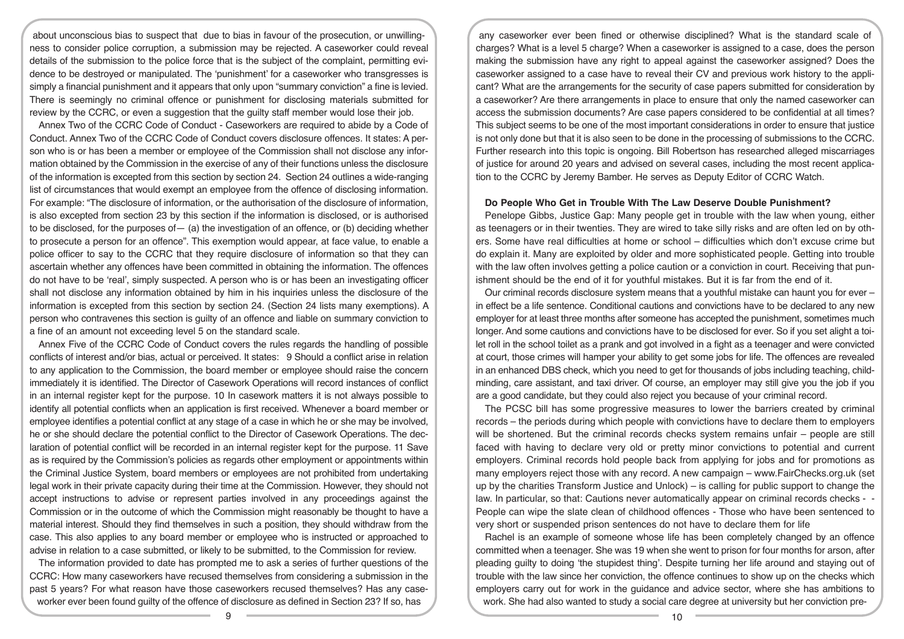about unconscious bias to suspect that due to bias in favour of the prosecution, or unwillingness to consider police corruption, a submission may be rejected. A caseworker could reveal details of the submission to the police force that is the subject of the complaint, permitting evidence to be destroyed or manipulated. The 'punishment' for a caseworker who transgresses is simply a financial punishment and it appears that only upon "summary conviction" a fine is levied. There is seemingly no criminal offence or punishment for disclosing materials submitted for review by the CCRC, or even a suggestion that the guilty staff member would lose their job.

Annex Two of the CCRC Code of Conduct - Caseworkers are required to abide by a Code of Conduct. Annex Two of the CCRC Code of Conduct covers disclosure offences. It states: A person who is or has been a member or employee of the Commission shall not disclose any information obtained by the Commission in the exercise of any of their functions unless the disclosure of the information is excepted from this section by section 24. Section 24 outlines a wide-ranging list of circumstances that would exempt an employee from the offence of disclosing information. For example: "The disclosure of information, or the authorisation of the disclosure of information, is also excepted from section 23 by this section if the information is disclosed, or is authorised to be disclosed, for the purposes of  $-$  (a) the investigation of an offence, or (b) deciding whether to prosecute a person for an offence". This exemption would appear, at face value, to enable a police officer to say to the CCRC that they require disclosure of information so that they can ascertain whether any offences have been committed in obtaining the information. The offences do not have to be 'real', simply suspected. A person who is or has been an investigating officer shall not disclose any information obtained by him in his inquiries unless the disclosure of the information is excepted from this section by section 24. (Section 24 lists many exemptions). A person who contravenes this section is guilty of an offence and liable on summary conviction to a fine of an amount not exceeding level 5 on the standard scale.

Annex Five of the CCRC Code of Conduct covers the rules regards the handling of possible conflicts of interest and/or bias, actual or perceived. It states: 9 Should a conflict arise in relation to any application to the Commission, the board member or employee should raise the concern immediately it is identified. The Director of Casework Operations will record instances of conflict in an internal register kept for the purpose. 10 In casework matters it is not always possible to identify all potential conflicts when an application is first received. Whenever a board member or employee identifies a potential conflict at any stage of a case in which he or she may be involved, he or she should declare the potential conflict to the Director of Casework Operations. The declaration of potential conflict will be recorded in an internal register kept for the purpose. 11 Save as is required by the Commission's policies as regards other employment or appointments within the Criminal Justice System, board members or employees are not prohibited from undertaking legal work in their private capacity during their time at the Commission. However, they should not accept instructions to advise or represent parties involved in any proceedings against the Commission or in the outcome of which the Commission might reasonably be thought to have a material interest. Should they find themselves in such a position, they should withdraw from the case. This also applies to any board member or employee who is instructed or approached to advise in relation to a case submitted, or likely to be submitted, to the Commission for review.

The information provided to date has prompted me to ask a series of further questions of the CCRC: How many caseworkers have recused themselves from considering a submission in the past 5 years? For what reason have those caseworkers recused themselves? Has any caseworker ever been found guilty of the offence of disclosure as defined in Section 23? If so, has

any caseworker ever been fined or otherwise disciplined? What is the standard scale of charges? What is a level 5 charge? When a caseworker is assigned to a case, does the person making the submission have any right to appeal against the caseworker assigned? Does the caseworker assigned to a case have to reveal their CV and previous work history to the applicant? What are the arrangements for the security of case papers submitted for consideration by a caseworker? Are there arrangements in place to ensure that only the named caseworker can access the submission documents? Are case papers considered to be confidential at all times? This subject seems to be one of the most important considerations in order to ensure that justice is not only done but that it is also seen to be done in the processing of submissions to the CCRC. Further research into this topic is ongoing. Bill Robertson has researched alleged miscarriages of justice for around 20 years and advised on several cases, including the most recent application to the CCRC by Jeremy Bamber. He serves as Deputy Editor of CCRC Watch.

#### **Do People Who Get in Trouble With The Law Deserve Double Punishment?**

Penelope Gibbs, Justice Gap: Many people get in trouble with the law when young, either as teenagers or in their twenties. They are wired to take silly risks and are often led on by others. Some have real difficulties at home or school – difficulties which don't excuse crime but do explain it. Many are exploited by older and more sophisticated people. Getting into trouble with the law often involves getting a police caution or a conviction in court. Receiving that punishment should be the end of it for youthful mistakes. But it is far from the end of it.

Our criminal records disclosure system means that a youthful mistake can haunt you for ever – in effect be a life sentence. Conditional cautions and convictions have to be declared to any new employer for at least three months after someone has accepted the punishment, sometimes much longer. And some cautions and convictions have to be disclosed for ever. So if you set alight a toilet roll in the school toilet as a prank and got involved in a fight as a teenager and were convicted at court, those crimes will hamper your ability to get some jobs for life. The offences are revealed in an enhanced DBS check, which you need to get for thousands of jobs including teaching, childminding, care assistant, and taxi driver. Of course, an employer may still give you the job if you are a good candidate, but they could also reject you because of your criminal record.

The PCSC bill has some progressive measures to lower the barriers created by criminal records – the periods during which people with convictions have to declare them to employers will be shortened. But the criminal records checks system remains unfair – people are still faced with having to declare very old or pretty minor convictions to potential and current employers. Criminal records hold people back from applying for jobs and for promotions as many employers reject those with any record. A new campaign – www.FairChecks.org.uk (set up by the charities Transform Justice and Unlock) – is calling for public support to change the law. In particular, so that: Cautions never automatically appear on criminal records checks - -People can wipe the slate clean of childhood offences - Those who have been sentenced to very short or suspended prison sentences do not have to declare them for life

Rachel is an example of someone whose life has been completely changed by an offence committed when a teenager. She was 19 when she went to prison for four months for arson, after pleading guilty to doing 'the stupidest thing'. Despite turning her life around and staying out of trouble with the law since her conviction, the offence continues to show up on the checks which employers carry out for work in the guidance and advice sector, where she has ambitions to work. She had also wanted to study a social care degree at university but her conviction pre-